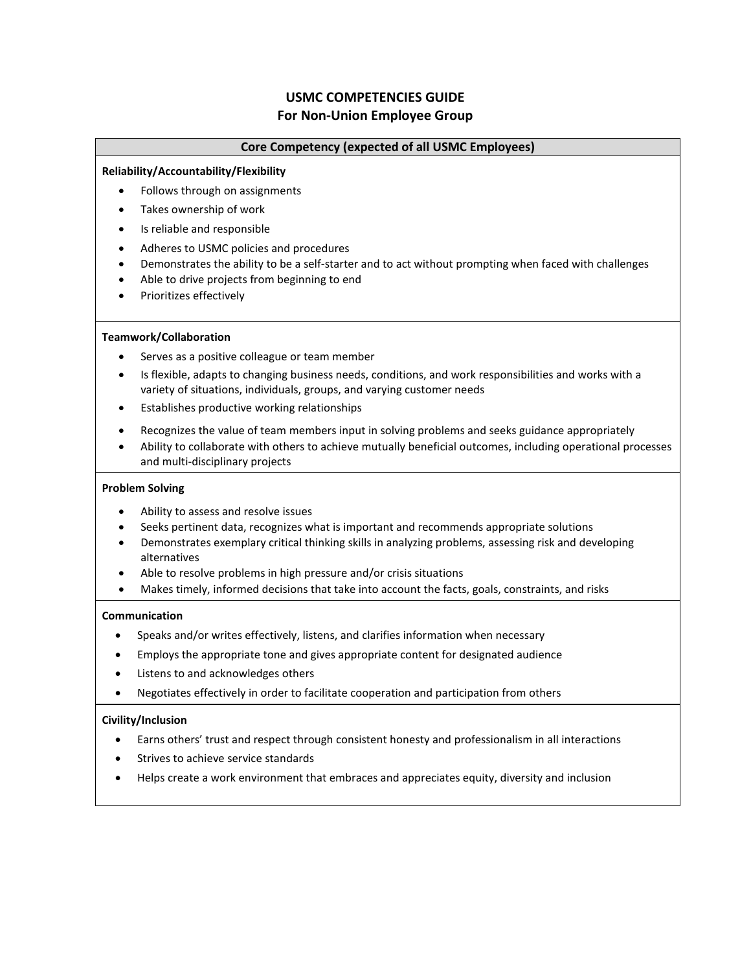# **USMC COMPETENCIES GUIDE For Non-Union Employee Group**

## **Core Competency (expected of all USMC Employees)**

#### **Reliability/Accountability/Flexibility**

- Follows through on assignments
- Takes ownership of work
- Is reliable and responsible
- Adheres to USMC policies and procedures
- Demonstrates the ability to be a self-starter and to act without prompting when faced with challenges
- Able to drive projects from beginning to end
- Prioritizes effectively

## **Teamwork/Collaboration**

- Serves as a positive colleague or team member
- Is flexible, adapts to changing business needs, conditions, and work responsibilities and works with a variety of situations, individuals, groups, and varying customer needs
- Establishes productive working relationships
- Recognizes the value of team members input in solving problems and seeks guidance appropriately
- Ability to collaborate with others to achieve mutually beneficial outcomes, including operational processes and multi-disciplinary projects

#### **Problem Solving**

- Ability to assess and resolve issues
- Seeks pertinent data, recognizes what is important and recommends appropriate solutions
- Demonstrates exemplary critical thinking skills in analyzing problems, assessing risk and developing alternatives
- Able to resolve problems in high pressure and/or crisis situations
- Makes timely, informed decisions that take into account the facts, goals, constraints, and risks

## **Communication**

- Speaks and/or writes effectively, listens, and clarifies information when necessary
- Employs the appropriate tone and gives appropriate content for designated audience
- Listens to and acknowledges others
- Negotiates effectively in order to facilitate cooperation and participation from others

## **Civility/Inclusion**

- Earns others' trust and respect through consistent honesty and professionalism in all interactions
- Strives to achieve service standards
- Helps create a work environment that embraces and appreciates equity, diversity and inclusion